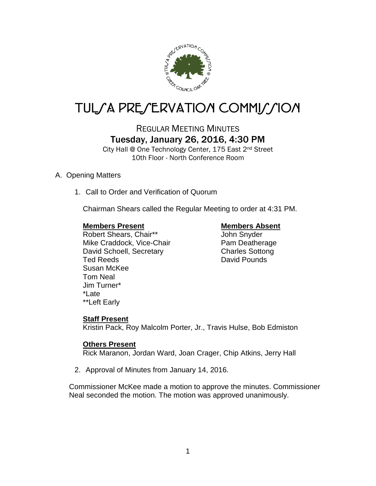

# TUL/A PRE/ERVATION COMMI*J*/ION

## REGULAR MEETING MINUTES Tuesday, January 26, 2016, 4:30 PM

City Hall @ One Technology Center, 175 East 2nd Street 10th Floor - North Conference Room

### A. Opening Matters

1. Call to Order and Verification of Quorum

Chairman Shears called the Regular Meeting to order at 4:31 PM.

#### **Members Present Members Absent**

Robert Shears, Chair\*\* John Snyder Mike Craddock, Vice-Chair Pam Deatherage David Schoell, Secretary Charles Sottong Ted Reeds **David Pounds** Susan McKee Tom Neal Jim Turner\* \*Late \*\*Left Early

#### **Staff Present**

Kristin Pack, Roy Malcolm Porter, Jr., Travis Hulse, Bob Edmiston

#### **Others Present**

Rick Maranon, Jordan Ward, Joan Crager, Chip Atkins, Jerry Hall

2. Approval of Minutes from January 14, 2016.

Commissioner McKee made a motion to approve the minutes. Commissioner Neal seconded the motion. The motion was approved unanimously.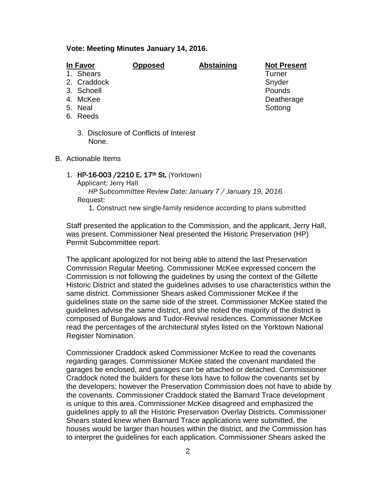#### **Vote: Meeting Minutes January 14, 2016.**

| In Favor<br>1. Shears<br>2. Craddock<br>3. Schoell<br>4. McKee | Opposed                                | <b>Abstaining</b> | <b>Not Present</b><br>Turner<br>Snyder<br>Pounds<br>Deatherage |
|----------------------------------------------------------------|----------------------------------------|-------------------|----------------------------------------------------------------|
| 5. Neal<br>6. Reeds                                            | 3. Disclosure of Conflicts of Interest |                   | Sottong                                                        |
| None.<br><b>B.</b> Actionable Items                            |                                        |                   |                                                                |
|                                                                |                                        |                   |                                                                |

1. HP-16-003 / 2210 E. 17<sup>th</sup> St. (Yorktown) Applicant: Jerry Hall *HP Subcommittee Review Date: January 7 / January 19, 2016*

Request:

1. Construct new single-family residence according to plans submitted

Staff presented the application to the Commission, and the applicant, Jerry Hall, was present. Commissioner Neal presented the Historic Preservation (HP) Permit Subcommittee report.

The applicant apologized for not being able to attend the last Preservation Commission Regular Meeting. Commissioner McKee expressed concern the Commission is not following the guidelines by using the context of the Gillette Historic District and stated the guidelines advises to use characteristics within the same district. Commissioner Shears asked Commissioner McKee if the guidelines state on the same side of the street. Commissioner McKee stated the guidelines advise the same district, and she noted the majority of the district is composed of Bungalows and Tudor-Revival residences. Commissioner McKee read the percentages of the architectural styles listed on the Yorktown National Register Nomination.

Commissioner Craddock asked Commissioner McKee to read the covenants regarding garages. Commissioner McKee stated the covenant mandated the garages be enclosed, and garages can be attached or detached. Commissioner Craddock noted the builders for these lots have to follow the covenants set by the developers; however the Preservation Commission does not have to abide by the covenants. Commissioner Craddock stated the Barnard Trace development is unique to this area. Commissioner McKee disagreed and emphasized the guidelines apply to all the Historic Preservation Overlay Districts. Commissioner Shears stated knew when Barnard Trace applications were submitted, the houses would be larger than houses within the district, and the Commission has to interpret the guidelines for each application. Commissioner Shears asked the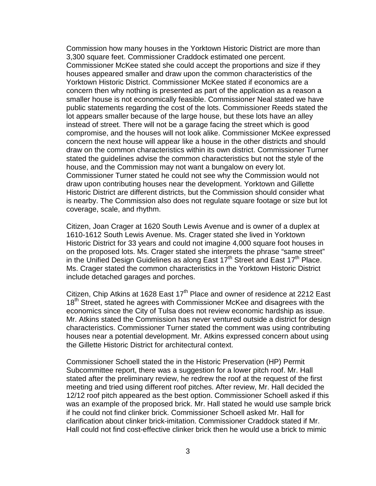Commission how many houses in the Yorktown Historic District are more than 3,300 square feet. Commissioner Craddock estimated one percent. Commissioner McKee stated she could accept the proportions and size if they houses appeared smaller and draw upon the common characteristics of the Yorktown Historic District. Commissioner McKee stated if economics are a concern then why nothing is presented as part of the application as a reason a smaller house is not economically feasible. Commissioner Neal stated we have public statements regarding the cost of the lots. Commissioner Reeds stated the lot appears smaller because of the large house, but these lots have an alley instead of street. There will not be a garage facing the street which is good compromise, and the houses will not look alike. Commissioner McKee expressed concern the next house will appear like a house in the other districts and should draw on the common characteristics within its own district. Commissioner Turner stated the guidelines advise the common characteristics but not the style of the house, and the Commission may not want a bungalow on every lot. Commissioner Turner stated he could not see why the Commission would not draw upon contributing houses near the development. Yorktown and Gillette Historic District are different districts, but the Commission should consider what is nearby. The Commission also does not regulate square footage or size but lot coverage, scale, and rhythm.

Citizen, Joan Crager at 1620 South Lewis Avenue and is owner of a duplex at 1610-1612 South Lewis Avenue. Ms. Crager stated she lived in Yorktown Historic District for 33 years and could not imagine 4,000 square foot houses in on the proposed lots. Ms. Crager stated she interprets the phrase "same street" in the Unified Design Guidelines as along East  $17<sup>th</sup>$  Street and East  $17<sup>th</sup>$  Place. Ms. Crager stated the common characteristics in the Yorktown Historic District include detached garages and porches.

Citizen, Chip Atkins at 1628 East  $17<sup>th</sup>$  Place and owner of residence at 2212 East 18<sup>th</sup> Street, stated he agrees with Commissioner McKee and disagrees with the economics since the City of Tulsa does not review economic hardship as issue. Mr. Atkins stated the Commission has never ventured outside a district for design characteristics. Commissioner Turner stated the comment was using contributing houses near a potential development. Mr. Atkins expressed concern about using the Gillette Historic District for architectural context.

Commissioner Schoell stated the in the Historic Preservation (HP) Permit Subcommittee report, there was a suggestion for a lower pitch roof. Mr. Hall stated after the preliminary review, he redrew the roof at the request of the first meeting and tried using different roof pitches. After review, Mr. Hall decided the 12/12 roof pitch appeared as the best option. Commissioner Schoell asked if this was an example of the proposed brick. Mr. Hall stated he would use sample brick if he could not find clinker brick. Commissioner Schoell asked Mr. Hall for clarification about clinker brick-imitation. Commissioner Craddock stated if Mr. Hall could not find cost-effective clinker brick then he would use a brick to mimic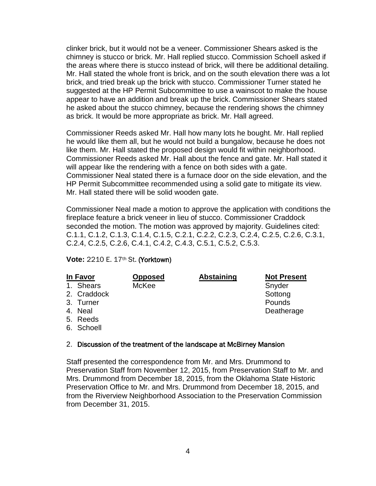clinker brick, but it would not be a veneer. Commissioner Shears asked is the chimney is stucco or brick. Mr. Hall replied stucco. Commission Schoell asked if the areas where there is stucco instead of brick, will there be additional detailing. Mr. Hall stated the whole front is brick, and on the south elevation there was a lot brick, and tried break up the brick with stucco. Commissioner Turner stated he suggested at the HP Permit Subcommittee to use a wainscot to make the house appear to have an addition and break up the brick. Commissioner Shears stated he asked about the stucco chimney, because the rendering shows the chimney as brick. It would be more appropriate as brick. Mr. Hall agreed.

Commissioner Reeds asked Mr. Hall how many lots he bought. Mr. Hall replied he would like them all, but he would not build a bungalow, because he does not like them. Mr. Hall stated the proposed design would fit within neighborhood. Commissioner Reeds asked Mr. Hall about the fence and gate. Mr. Hall stated it will appear like the rendering with a fence on both sides with a gate. Commissioner Neal stated there is a furnace door on the side elevation, and the HP Permit Subcommittee recommended using a solid gate to mitigate its view. Mr. Hall stated there will be solid wooden gate.

Commissioner Neal made a motion to approve the application with conditions the fireplace feature a brick veneer in lieu of stucco. Commissioner Craddock seconded the motion. The motion was approved by majority. Guidelines cited: C.1.1, C.1.2, C.1.3, C.1.4, C.1.5, C.2.1, C.2.2, C.2.3, C.2.4, C.2.5, C.2.6, C.3.1, C.2.4, C.2.5, C.2.6, C.4.1, C.4.2, C.4.3, C.5.1, C.5.2, C.5.3.

#### **Vote:** 2210 E. 17th St. (Yorktown)

| <u>In Favor</u> |             | <b>Opposed</b> | <b>Abstaining</b> | <b>Not Present</b> |
|-----------------|-------------|----------------|-------------------|--------------------|
|                 | 1. Shears   | McKee          |                   | Snyder             |
|                 | 2. Craddock |                |                   | Sottong            |
|                 | 3. Turner   |                |                   | Pounds             |
|                 | 4. Neal     |                |                   | Deatherage         |
|                 | 5. Reeds    |                |                   |                    |
|                 | 6. Schoell  |                |                   |                    |

#### 2. Discussion of the treatment of the landscape at McBirney Mansion

Staff presented the correspondence from Mr. and Mrs. Drummond to Preservation Staff from November 12, 2015, from Preservation Staff to Mr. and Mrs. Drummond from December 18, 2015, from the Oklahoma State Historic Preservation Office to Mr. and Mrs. Drummond from December 18, 2015, and from the Riverview Neighborhood Association to the Preservation Commission from December 31, 2015.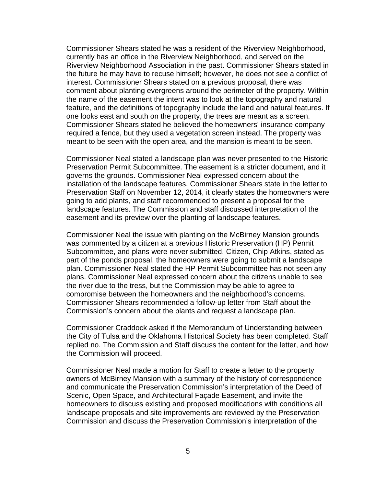Commissioner Shears stated he was a resident of the Riverview Neighborhood, currently has an office in the Riverview Neighborhood, and served on the Riverview Neighborhood Association in the past. Commissioner Shears stated in the future he may have to recuse himself; however, he does not see a conflict of interest. Commissioner Shears stated on a previous proposal, there was comment about planting evergreens around the perimeter of the property. Within the name of the easement the intent was to look at the topography and natural feature, and the definitions of topography include the land and natural features. If one looks east and south on the property, the trees are meant as a screen. Commissioner Shears stated he believed the homeowners' insurance company required a fence, but they used a vegetation screen instead. The property was meant to be seen with the open area, and the mansion is meant to be seen.

Commissioner Neal stated a landscape plan was never presented to the Historic Preservation Permit Subcommittee. The easement is a stricter document, and it governs the grounds. Commissioner Neal expressed concern about the installation of the landscape features. Commissioner Shears state in the letter to Preservation Staff on November 12, 2014, it clearly states the homeowners were going to add plants, and staff recommended to present a proposal for the landscape features. The Commission and staff discussed interpretation of the easement and its preview over the planting of landscape features.

Commissioner Neal the issue with planting on the McBirney Mansion grounds was commented by a citizen at a previous Historic Preservation (HP) Permit Subcommittee, and plans were never submitted. Citizen, Chip Atkins, stated as part of the ponds proposal, the homeowners were going to submit a landscape plan. Commissioner Neal stated the HP Permit Subcommittee has not seen any plans. Commissioner Neal expressed concern about the citizens unable to see the river due to the tress, but the Commission may be able to agree to compromise between the homeowners and the neighborhood's concerns. Commissioner Shears recommended a follow-up letter from Staff about the Commission's concern about the plants and request a landscape plan.

Commissioner Craddock asked if the Memorandum of Understanding between the City of Tulsa and the Oklahoma Historical Society has been completed. Staff replied no. The Commission and Staff discuss the content for the letter, and how the Commission will proceed.

Commissioner Neal made a motion for Staff to create a letter to the property owners of McBirney Mansion with a summary of the history of correspondence and communicate the Preservation Commission's interpretation of the Deed of Scenic, Open Space, and Architectural Façade Easement, and invite the homeowners to discuss existing and proposed modifications with conditions all landscape proposals and site improvements are reviewed by the Preservation Commission and discuss the Preservation Commission's interpretation of the